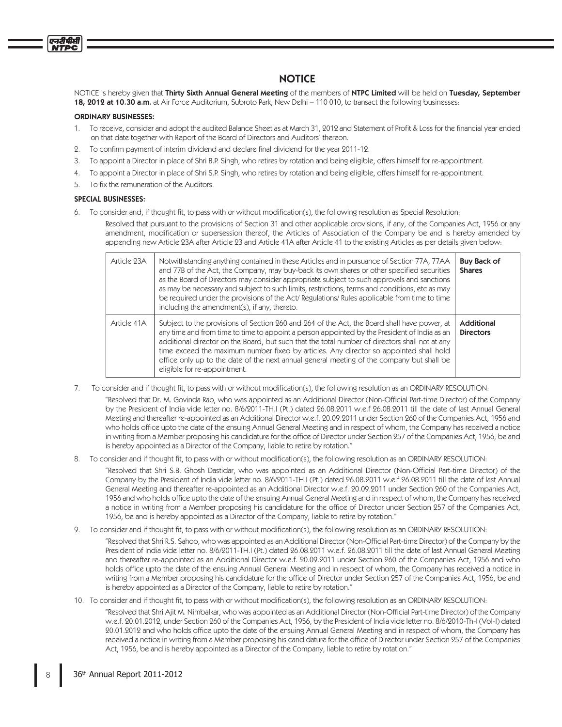# **NOTICE**

NOTICE is hereby given that Thirty Sixth Annual General Meeting of the members of NTPC Limited will be held on Tuesday, September 18, 2012 at 10.30 a.m. at Air Force Auditorium, Subroto Park, New Delhi – 110 010, to transact the following businesses:

# ORDINARY BUSINESSES:

एनदीपीसी

- 1. To receive, consider and adopt the audited Balance Sheet as at March 31, 2012 and Statement of Profit & Loss for the financial year ended on that date together with Report of the Board of Directors and Auditors' thereon.
- 2. To confirm payment of interim dividend and declare final dividend for the year 2011-12.
- 3. To appoint a Director in place of Shri B.P. Singh, who retires by rotation and being eligible, offers himself for re-appointment.
- 4. To appoint a Director in place of Shri S.P. Singh, who retires by rotation and being eligible, offers himself for re-appointment.
- 5. To fix the remuneration of the Auditors.

# SPECIAL BUSINESSES:

6. To consider and, if thought fit, to pass with or without modification(s), the following resolution as Special Resolution:

 Resolved that pursuant to the provisions of Section 31 and other applicable provisions, if any, of the Companies Act, 1956 or any amendment, modification or supersession thereof, the Articles of Association of the Company be and is hereby amended by appending new Article 23A after Article 23 and Article 41A after Article 41 to the existing Articles as per details given below:

| Article 23A | Notwithstanding anything contained in these Articles and in pursuance of Section 77A, 77AA<br>and 77B of the Act, the Company, may buy-back its own shares or other specified securities<br>as the Board of Directors may consider appropriate subject to such approvals and sanctions<br>as may be necessary and subject to such limits, restrictions, terms and conditions, etc as may<br>be required under the provisions of the Act/ Regulations/ Rules applicable from time to time<br>including the amendment(s), if any, thereto. | <b>Buy Back of</b><br><b>Shares</b> |
|-------------|------------------------------------------------------------------------------------------------------------------------------------------------------------------------------------------------------------------------------------------------------------------------------------------------------------------------------------------------------------------------------------------------------------------------------------------------------------------------------------------------------------------------------------------|-------------------------------------|
| Article 41A | Subject to the provisions of Section 260 and 264 of the Act, the Board shall have power, at<br>any time and from time to time to appoint a person appointed by the President of India as an<br>additional director on the Board, but such that the total number of directors shall not at any<br>time exceed the maximum number fixed by articles. Any director so appointed shall hold<br>office only up to the date of the next annual general meeting of the company but shall be<br>eligible for re-appointment.                     | Additional<br><b>Directors</b>      |

To consider and if thought fit, to pass with or without modification(s), the following resolution as an ORDINARY RESOLUTION:

"Resolved that Dr. M. Govinda Rao, who was appointed as an Additional Director (Non-Official Part-time Director) of the Company by the President of India vide letter no. 8/6/2011-TH.I (Pt.) dated 26.08.2011 w.e.f 26.08.2011 till the date of last Annual General Meeting and thereafter re-appointed as an Additional Director w.e.f. 20.09.2011 under Section 260 of the Companies Act, 1956 and who holds office upto the date of the ensuing Annual General Meeting and in respect of whom, the Company has received a notice in writing from a Member proposing his candidature for the office of Director under Section 257 of the Companies Act, 1956, be and is hereby appointed as a Director of the Company, liable to retire by rotation."

8. To consider and if thought fit, to pass with or without modification(s), the following resolution as an ORDINARY RESOLUTION:

"Resolved that Shri S.B. Ghosh Dastidar, who was appointed as an Additional Director (Non-Official Part-time Director) of the Company by the President of India vide letter no. 8/6/2011-TH.I (Pt.) dated 26.08.2011 w.e.f 26.08.2011 till the date of last Annual General Meeting and thereafter re-appointed as an Additional Director w.e.f. 20.09.2011 under Section 260 of the Companies Act, 1956 and who holds office upto the date of the ensuing Annual General Meeting and in respect of whom, the Company has received a notice in writing from a Member proposing his candidature for the office of Director under Section 257 of the Companies Act, 1956, be and is hereby appointed as a Director of the Company, liable to retire by rotation."

9. To consider and if thought fit, to pass with or without modification(s), the following resolution as an ORDINARY RESOLUTION:

"Resolved that Shri R.S. Sahoo, who was appointed as an Additional Director (Non-Official Part-time Director) of the Company by the President of India vide letter no. 8/6/2011-TH.I (Pt.) dated 26.08.2011 w.e.f. 26.08.2011 till the date of last Annual General Meeting and thereafter re-appointed as an Additional Director w.e.f. 20.09.2011 under Section 260 of the Companies Act, 1956 and who holds office upto the date of the ensuing Annual General Meeting and in respect of whom, the Company has received a notice in writing from a Member proposing his candidature for the office of Director under Section 257 of the Companies Act, 1956, be and is hereby appointed as a Director of the Company, liable to retire by rotation."

10. To consider and if thought fit, to pass with or without modification(s), the following resolution as an ORDINARY RESOLUTION:

"Resolved that Shri Ajit M. Nimbalkar, who was appointed as an Additional Director (Non-Official Part-time Director) of the Company w.e.f. 20.01.2012, under Section 260 of the Companies Act, 1956, by the President of India vide letter no. 8/6/2010-Th-I (Vol-I) dated 20.01.2012 and who holds office upto the date of the ensuing Annual General Meeting and in respect of whom, the Company has received a notice in writing from a Member proposing his candidature for the office of Director under Section 257 of the Companies Act, 1956, be and is hereby appointed as a Director of the Company, liable to retire by rotation."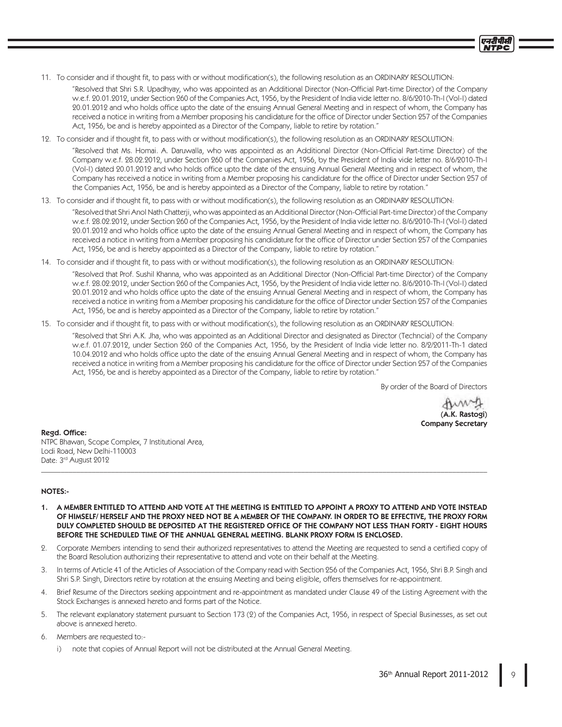11. To consider and if thought fit, to pass with or without modification(s), the following resolution as an ORDINARY RESOLUTION:

"Resolved that Shri S.R. Upadhyay, who was appointed as an Additional Director (Non-Official Part-time Director) of the Company w.e.f. 20.01.2012, under Section 260 of the Companies Act, 1956, by the President of India vide letter no. 8/6/2010-Th-I (Vol-I) dated 20.01.2012 and who holds office upto the date of the ensuing Annual General Meeting and in respect of whom, the Company has received a notice in writing from a Member proposing his candidature for the office of Director under Section 257 of the Companies Act, 1956, be and is hereby appointed as a Director of the Company, liable to retire by rotation."

12. To consider and if thought fit, to pass with or without modification(s), the following resolution as an ORDINARY RESOLUTION:

"Resolved that Ms. Homai. A. Daruwalla, who was appointed as an Additional Director (Non-Official Part-time Director) of the Company w.e.f. 28.02.2012, under Section 260 of the Companies Act, 1956, by the President of India vide letter no. 8/6/2010-Th-I (Vol-I) dated 20.01.2012 and who holds office upto the date of the ensuing Annual General Meeting and in respect of whom, the Company has received a notice in writing from a Member proposing his candidature for the office of Director under Section 257 of the Companies Act, 1956, be and is hereby appointed as a Director of the Company, liable to retire by rotation."

13. To consider and if thought fit, to pass with or without modification(s), the following resolution as an ORDINARY RESOLUTION:

"Resolved that Shri Anol Nath Chatterji, who was appointed as an Additional Director (Non-Official Part-time Director) of the Company w.e.f. 28.02.2012, under Section 260 of the Companies Act, 1956, by the President of India vide letter no. 8/6/2010-Th-I (Vol-I) dated 20.01.2012 and who holds office upto the date of the ensuing Annual General Meeting and in respect of whom, the Company has received a notice in writing from a Member proposing his candidature for the office of Director under Section 257 of the Companies Act, 1956, be and is hereby appointed as a Director of the Company, liable to retire by rotation."

14. To consider and if thought fit, to pass with or without modification(s), the following resolution as an ORDINARY RESOLUTION:

"Resolved that Prof. Sushil Khanna, who was appointed as an Additional Director (Non-Official Part-time Director) of the Company w.e.f. 28.02.2012, under Section 260 of the Companies Act, 1956, by the President of India vide letter no. 8/6/2010-Th-I (Vol-I) dated 20.01.2012 and who holds office upto the date of the ensuing Annual General Meeting and in respect of whom, the Company has received a notice in writing from a Member proposing his candidature for the office of Director under Section 257 of the Companies Act, 1956, be and is hereby appointed as a Director of the Company, liable to retire by rotation."

15. To consider and if thought fit, to pass with or without modification(s), the following resolution as an ORDINARY RESOLUTION:

 "Resolved that Shri A.K. Jha, who was appointed as an Additional Director and designated as Director (Techncial) of the Company w.e.f. 01.07.2012, under Section 260 of the Companies Act, 1956, by the President of India vide letter no. 8/2/2011-Th-1 dated 10.04.2012 and who holds office upto the date of the ensuing Annual General Meeting and in respect of whom, the Company has received a notice in writing from a Member proposing his candidature for the office of Director under Section 257 of the Companies Act, 1956, be and is hereby appointed as a Director of the Company, liable to retire by rotation."

By order of the Board of Directors

Auny (A.K. Rastogi) Company Secretary

प्रदर्शिक

Regd. Office: NTPC Bhawan, Scope Complex, 7 Institutional Area, Lodi Road, New Delhi-110003 Date: 3<sup>rd</sup> August 2012

# NOTES:-

1. A MEMBER ENTITLED TO ATTEND AND VOTE AT THE MEETING IS ENTITLED TO APPOINT A PROXY TO ATTEND AND VOTE INSTEAD OF HIMSELF/ HERSELF AND THE PROXY NEED NOT BE A MEMBER OF THE COMPANY. IN ORDER TO BE EFFECTIVE, THE PROXY FORM DULY COMPLETED SHOULD BE DEPOSITED AT THE REGISTERED OFFICE OF THE COMPANY NOT LESS THAN FORTY - EIGHT HOURS BEFORE THE SCHEDULED TIME OF THE ANNUAL GENERAL MEETING. BLANK PROXY FORM IS ENCLOSED.

\_\_\_\_\_\_\_\_\_\_\_\_\_\_\_\_\_\_\_\_\_\_\_\_\_\_\_\_\_\_\_\_\_\_\_\_\_\_\_\_\_\_\_\_\_\_\_\_\_\_\_\_\_\_\_\_\_\_\_\_\_\_\_\_\_\_\_\_\_\_\_\_\_\_\_\_\_\_\_\_\_\_\_\_\_\_\_\_\_\_\_\_\_\_\_\_\_\_\_\_\_\_\_\_\_\_\_\_\_\_\_\_\_\_\_

- 2. Corporate Members intending to send their authorized representatives to attend the Meeting are requested to send a certified copy of the Board Resolution authorizing their representative to attend and vote on their behalf at the Meeting.
- 3. In terms of Article 41 of the Articles of Association of the Company read with Section 256 of the Companies Act, 1956, Shri B.P. Singh and Shri S.P. Singh, Directors retire by rotation at the ensuing Meeting and being eligible, offers themselves for re-appointment.
- 4. Brief Resume of the Directors seeking appointment and re-appointment as mandated under Clause 49 of the Listing Agreement with the Stock Exchanges is annexed hereto and forms part of the Notice.
- 5. The relevant explanatory statement pursuant to Section 173 (2) of the Companies Act, 1956, in respect of Special Businesses, as set out above is annexed hereto.
- 6. Members are requested to:
	- i) note that copies of Annual Report will not be distributed at the Annual General Meeting.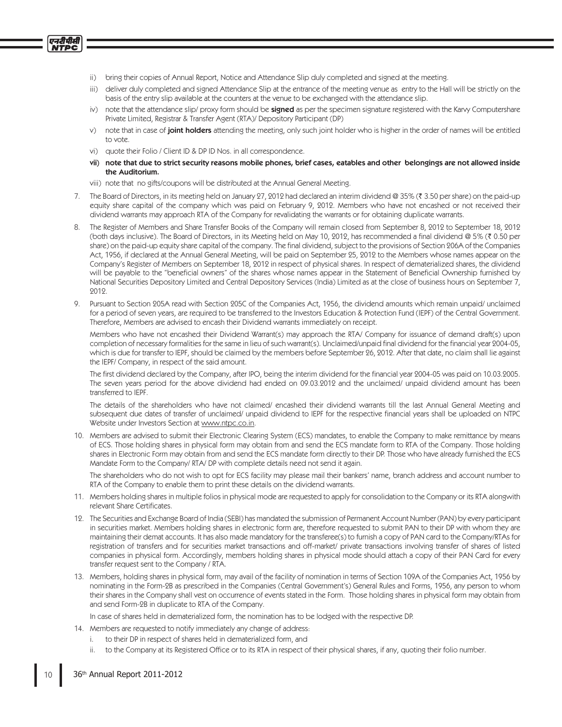- ii) bring their copies of Annual Report, Notice and Attendance Slip duly completed and signed at the meeting.
- iii) deliver duly completed and signed Attendance Slip at the entrance of the meeting venue as entry to the Hall will be strictly on the basis of the entry slip available at the counters at the venue to be exchanged with the attendance slip.
- iv) note that the attendance slip/ proxy form should be **signed** as per the specimen signature registered with the Karvy Computershare Private Limited, Registrar & Transfer Agent (RTA)/ Depository Participant (DP)
- v) note that in case of joint holders attending the meeting, only such joint holder who is higher in the order of names will be entitled to vote.
- vi) quote their Folio / Client ID & DP ID Nos. in all correspondence.

एनटीपीसी

- vii) note that due to strict security reasons mobile phones, brief cases, eatables and other belongings are not allowed inside the Auditorium.
- viii) note that no gifts/coupons will be distributed at the Annual General Meeting.
- 7. The Board of Directors, in its meeting held on January 27, 2012 had declared an interim dividend @ 35% ( 3.50 per share) on the paid-up equity share capital of the company which was paid on February 9, 2012. Members who have not encashed or not received their dividend warrants may approach RTA of the Company for revalidating the warrants or for obtaining duplicate warrants.
- 8. The Register of Members and Share Transfer Books of the Company will remain closed from September 8, 2012 to September 18, 2012 (both days inclusive). The Board of Directors, in its Meeting held on May 10, 2012, has recommended a final dividend @ 5% (₹ 0.50 per share) on the paid-up equity share capital of the company. The final dividend, subject to the provisions of Section 206A of the Companies Act, 1956, if declared at the Annual General Meeting, will be paid on September 25, 2012 to the Members whose names appear on the Company's Register of Members on September 18, 2012 in respect of physical shares. In respect of dematerialized shares, the dividend will be payable to the "beneficial owners" of the shares whose names appear in the Statement of Beneficial Ownership furnished by National Securities Depository Limited and Central Depository Services (India) Limited as at the close of business hours on September 7, 2012.
- 9. Pursuant to Section 205A read with Section 205C of the Companies Act, 1956, the dividend amounts which remain unpaid/ unclaimed for a period of seven years, are required to be transferred to the Investors Education & Protection Fund (IEPF) of the Central Government. Therefore, Members are advised to encash their Dividend warrants immediately on receipt.

 Members who have not encashed their Dividend Warrant(s) may approach the RTA/ Company for issuance of demand draft(s) upon completion of necessary formalities for the same in lieu of such warrant(s). Unclaimed/unpaid final dividend for the financial year 2004-05, which is due for transfer to IEPF, should be claimed by the members before September 26, 2012. After that date, no claim shall lie against the IEPF/ Company, in respect of the said amount.

The first dividend declared by the Company, after IPO, being the interim dividend for the financial year 2004-05 was paid on 10.03.2005. The seven years period for the above dividend had ended on 09.03.2012 and the unclaimed/ unpaid dividend amount has been transferred to IEPF.

 The details of the shareholders who have not claimed/ encashed their dividend warrants till the last Annual General Meeting and subsequent due dates of transfer of unclaimed/ unpaid dividend to IEPF for the respective financial years shall be uploaded on NTPC Website under Investors Section at www.ntpc.co.in.

10. Members are advised to submit their Electronic Clearing System (ECS) mandates, to enable the Company to make remittance by means of ECS. Those holding shares in physical form may obtain from and send the ECS mandate form to RTA of the Company. Those holding shares in Electronic Form may obtain from and send the ECS mandate form directly to their DP. Those who have already furnished the ECS Mandate Form to the Company/ RTA/ DP with complete details need not send it again.

 The shareholders who do not wish to opt for ECS facility may please mail their bankers' name, branch address and account number to RTA of the Company to enable them to print these details on the dividend warrants.

- 11. Members holding shares in multiple folios in physical mode are requested to apply for consolidation to the Company or its RTA alongwith relevant Share Certificates.
- 12. The Securities and Exchange Board of India (SEBI) has mandated the submission of Permanent Account Number (PAN) by every participant in securities market. Members holding shares in electronic form are, therefore requested to submit PAN to their DP with whom they are maintaining their demat accounts. It has also made mandatory for the transferee(s) to furnish a copy of PAN card to the Company/RTAs for registration of transfers and for securities market transactions and off-market/ private transactions involving transfer of shares of listed companies in physical form. Accordingly, members holding shares in physical mode should attach a copy of their PAN Card for every transfer request sent to the Company / RTA.
- 13. Members, holding shares in physical form, may avail of the facility of nomination in terms of Section 109A of the Companies Act, 1956 by nominating in the Form-2B as prescribed in the Companies (Central Government's) General Rules and Forms, 1956, any person to whom their shares in the Company shall vest on occurrence of events stated in the Form. Those holding shares in physical form may obtain from and send Form-2B in duplicate to RTA of the Company.

In case of shares held in dematerialized form, the nomination has to be lodged with the respective DP.

- 14. Members are requested to notify immediately any change of address:
	- i. to their DP in respect of shares held in dematerialized form, and
	- ii. to the Company at its Registered Office or to its RTA in respect of their physical shares, if any, quoting their folio number.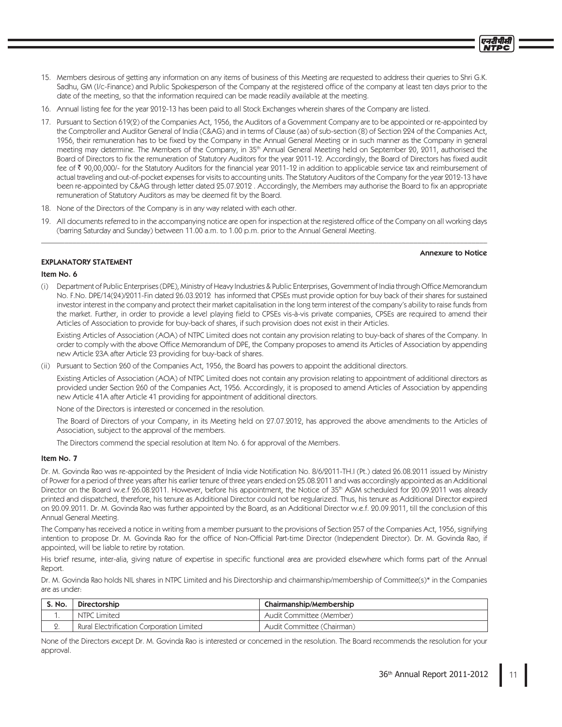- 15. Members desirous of getting any information on any items of business of this Meeting are requested to address their queries to Shri G.K. Sadhu, GM (I/c-Finance) and Public Spokesperson of the Company at the registered office of the company at least ten days prior to the date of the meeting, so that the information required can be made readily available at the meeting.
- 16. Annual listing fee for the year 2012-13 has been paid to all Stock Exchanges wherein shares of the Company are listed.
- 17. Pursuant to Section 619(2) of the Companies Act, 1956, the Auditors of a Government Company are to be appointed or re-appointed by the Comptroller and Auditor General of India (C&AG) and in terms of Clause (aa) of sub-section (8) of Section 224 of the Companies Act, 1956, their remuneration has to be fixed by the Company in the Annual General Meeting or in such manner as the Company in general meeting may determine. The Members of the Company, in 35<sup>th</sup> Annual General Meeting held on September 20, 2011, authorised the Board of Directors to fix the remuneration of Statutory Auditors for the year 2011-12. Accordingly, the Board of Directors has fixed audit fee of ₹90,00,000/- for the Statutory Auditors for the financial year 2011-12 in addition to applicable service tax and reimbursement of actual traveling and out-of-pocket expenses for visits to accounting units. The Statutory Auditors of the Company for the year 2012-13 have been re-appointed by C&AG through letter dated 25.07.2012 . Accordingly, the Members may authorise the Board to fix an appropriate remuneration of Statutory Auditors as may be deemed fit by the Board.
- 18. None of the Directors of the Company is in any way related with each other.
- 19. All documents referred to in the accompanying notice are open for inspection at the registered office of the Company on all working days (barring Saturday and Sunday) between 11.00 a.m. to 1.00 p.m. prior to the Annual General Meeting. \_\_\_\_\_\_\_\_\_\_\_\_\_\_\_\_\_\_\_\_\_\_\_\_\_\_\_\_\_\_\_\_\_\_\_\_\_\_\_\_\_\_\_\_\_\_\_\_\_\_\_\_\_\_\_\_\_\_\_\_\_\_\_\_\_\_\_\_\_\_\_\_\_\_\_\_\_\_\_\_\_\_\_\_\_\_\_\_\_\_\_\_\_\_\_\_\_\_\_\_\_\_\_\_\_\_\_\_\_\_\_\_\_\_\_

#### Annexure to Notice

# EXPLANATORY STATEMENT

# Item No. 6

(i) Department of Public Enterprises (DPE), Ministry of Heavy Industries & Public Enterprises, Government of India through Office Memorandum No. F.No. DPE/14(24)/2011-Fin dated 26.03.2012 has informed that CPSEs must provide option for buy back of their shares for sustained investor interest in the company and protect their market capitalisation in the long term interest of the company's ability to raise funds from the market. Further, in order to provide a level playing field to CPSEs vis-à-vis private companies, CPSEs are required to amend their Articles of Association to provide for buy-back of shares, if such provision does not exist in their Articles.

 Existing Articles of Association (AOA) of NTPC Limited does not contain any provision relating to buy-back of shares of the Company. In order to comply with the above Office Memorandum of DPE, the Company proposes to amend its Articles of Association by appending new Article 23A after Article 23 providing for buy-back of shares.

(ii) Pursuant to Section 260 of the Companies Act, 1956, the Board has powers to appoint the additional directors.

 Existing Articles of Association (AOA) of NTPC Limited does not contain any provision relating to appointment of additional directors as provided under Section 260 of the Companies Act, 1956. Accordingly, it is proposed to amend Articles of Association by appending new Article 41A after Article 41 providing for appointment of additional directors.

None of the Directors is interested or concerned in the resolution.

 The Board of Directors of your Company, in its Meeting held on 27.07.2012, has approved the above amendments to the Articles of Association, subject to the approval of the members.

The Directors commend the special resolution at Item No. 6 for approval of the Members.

# Item No. 7

Dr. M. Govinda Rao was re-appointed by the President of India vide Notification No. 8/6/2011-TH.I (Pt.) dated 26.08.2011 issued by Ministry of Power for a period of three years after his earlier tenure of three years ended on 25.08.2011 and was accordingly appointed as an Additional Director on the Board w.e.f 26.08.2011. However, before his appointment, the Notice of 35<sup>th</sup> AGM scheduled for 20.09.2011 was already printed and dispatched, therefore, his tenure as Additional Director could not be regularized. Thus, his tenure as Additional Director expired on 20.09.2011. Dr. M. Govinda Rao was further appointed by the Board, as an Additional Director w.e.f. 20.09.2011, till the conclusion of this Annual General Meeting.

The Company has received a notice in writing from a member pursuant to the provisions of Section 257 of the Companies Act, 1956, signifying intention to propose Dr. M. Govinda Rao for the office of Non-Official Part-time Director (Independent Director). Dr. M. Govinda Rao, if appointed, will be liable to retire by rotation.

His brief resume, inter-alia, giving nature of expertise in specific functional area are provided elsewhere which forms part of the Annual Report.

Dr. M. Govinda Rao holds NIL shares in NTPC Limited and his Directorship and chairmanship/membership of Committee(s)\* in the Companies are as under:

| S. No. | Directorship                              | Chairmanship/Membership    |
|--------|-------------------------------------------|----------------------------|
|        | NTPC Limited                              | Audit Committee (Member)   |
|        | Rural Electrification Corporation Limited | Audit Committee (Chairman) |

None of the Directors except Dr. M. Govinda Rao is interested or concerned in the resolution. The Board recommends the resolution for your approval.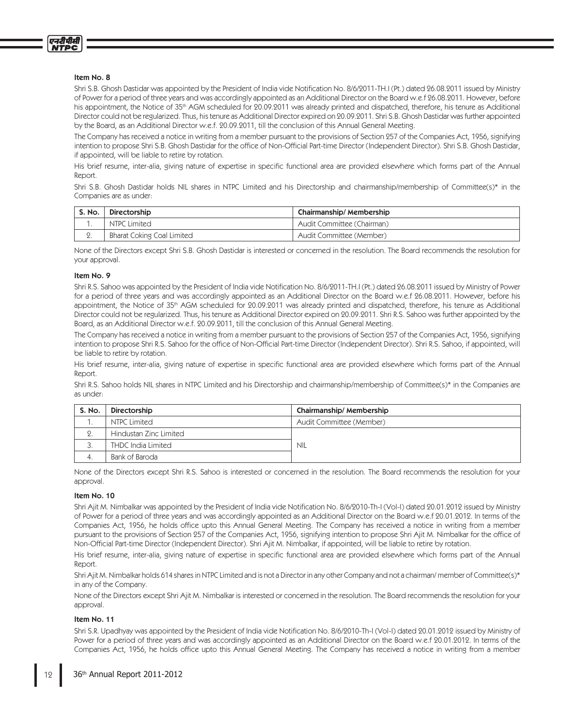

### Item No. 8

Shri S.B. Ghosh Dastidar was appointed by the President of India vide Notification No. 8/6/2011-TH.I (Pt.) dated 26.08.2011 issued by Ministry of Power for a period of three years and was accordingly appointed as an Additional Director on the Board w.e.f 26.08.2011. However, before his appointment, the Notice of 35<sup>th</sup> AGM scheduled for 20.09.2011 was already printed and dispatched, therefore, his tenure as Additional Director could not be regularized. Thus, his tenure as Additional Director expired on 20.09.2011. Shri S.B. Ghosh Dastidar was further appointed by the Board, as an Additional Director w.e.f. 20.09.2011, till the conclusion of this Annual General Meeting.

The Company has received a notice in writing from a member pursuant to the provisions of Section 257 of the Companies Act, 1956, signifying intention to propose Shri S.B. Ghosh Dastidar for the office of Non-Official Part-time Director (Independent Director). Shri S.B. Ghosh Dastidar, if appointed, will be liable to retire by rotation.

His brief resume, inter-alia, giving nature of expertise in specific functional area are provided elsewhere which forms part of the Annual Report.

Shri S.B. Ghosh Dastidar holds NIL shares in NTPC Limited and his Directorship and chairmanship/membership of Committee(s)\* in the Companies are as under:

| $^{\prime}$ S. No. | Directorship               | Chairmanship/Membership    |
|--------------------|----------------------------|----------------------------|
|                    | NTPC Limited               | Audit Committee (Chairman) |
| z٠                 | Bharat Coking Coal Limited | Audit Committee (Member)   |

None of the Directors except Shri S.B. Ghosh Dastidar is interested or concerned in the resolution. The Board recommends the resolution for your approval.

#### Item No. 9

Shri R.S. Sahoo was appointed by the President of India vide Notification No. 8/6/2011-TH.I (Pt.) dated 26.08.2011 issued by Ministry of Power for a period of three years and was accordingly appointed as an Additional Director on the Board w.e.f 26.08.2011. However, before his appointment, the Notice of 35<sup>th</sup> AGM scheduled for 20.09.2011 was already printed and dispatched, therefore, his tenure as Additional Director could not be regularized. Thus, his tenure as Additional Director expired on 20.09.2011. Shri R.S. Sahoo was further appointed by the Board, as an Additional Director w.e.f. 20.09.2011, till the conclusion of this Annual General Meeting.

The Company has received a notice in writing from a member pursuant to the provisions of Section 257 of the Companies Act, 1956, signifying intention to propose Shri R.S. Sahoo for the office of Non-Official Part-time Director (Independent Director). Shri R.S. Sahoo, if appointed, will be liable to retire by rotation.

His brief resume, inter-alia, giving nature of expertise in specific functional area are provided elsewhere which forms part of the Annual Report.

Shri R.S. Sahoo holds NIL shares in NTPC Limited and his Directorship and chairmanship/membership of Committee(s)\* in the Companies are as under:

| <b>S. No.</b> | Directorship              | Chairmanship/Membership  |
|---------------|---------------------------|--------------------------|
|               | NTPC Limited              | Audit Committee (Member) |
|               | Hindustan Zinc Limited    |                          |
| . ب           | <b>THDC</b> India Limited | <b>NIL</b>               |
|               | Bank of Baroda            |                          |

None of the Directors except Shri R.S. Sahoo is interested or concerned in the resolution. The Board recommends the resolution for your approval.

# Item No. 10

Shri Ajit M. Nimbalkar was appointed by the President of India vide Notification No. 8/6/2010-Th-I (Vol-I) dated 20.01.2012 issued by Ministry of Power for a period of three years and was accordingly appointed as an Additional Director on the Board w.e.f 20.01.2012. In terms of the Companies Act, 1956, he holds office upto this Annual General Meeting. The Company has received a notice in writing from a member pursuant to the provisions of Section 257 of the Companies Act, 1956, signifying intention to propose Shri Ajit M. Nimbalkar for the office of Non-Official Part-time Director (Independent Director). Shri Ajit M. Nimbalkar, if appointed, will be liable to retire by rotation.

His brief resume, inter-alia, giving nature of expertise in specific functional area are provided elsewhere which forms part of the Annual Report.

Shri Ajit M. Nimbalkar holds 614 shares in NTPC Limited and is not a Director in any other Company and not a chairman/ member of Committee(s)\* in any of the Company.

None of the Directors except Shri Ajit M. Nimbalkar is interested or concerned in the resolution. The Board recommends the resolution for your approval.

# Item No. 11

Shri S.R. Upadhyay was appointed by the President of India vide Notification No. 8/6/2010-Th-I (Vol-I) dated 20.01.2012 issued by Ministry of Power for a period of three years and was accordingly appointed as an Additional Director on the Board w.e.f 20.01.2012. In terms of the Companies Act, 1956, he holds office upto this Annual General Meeting. The Company has received a notice in writing from a member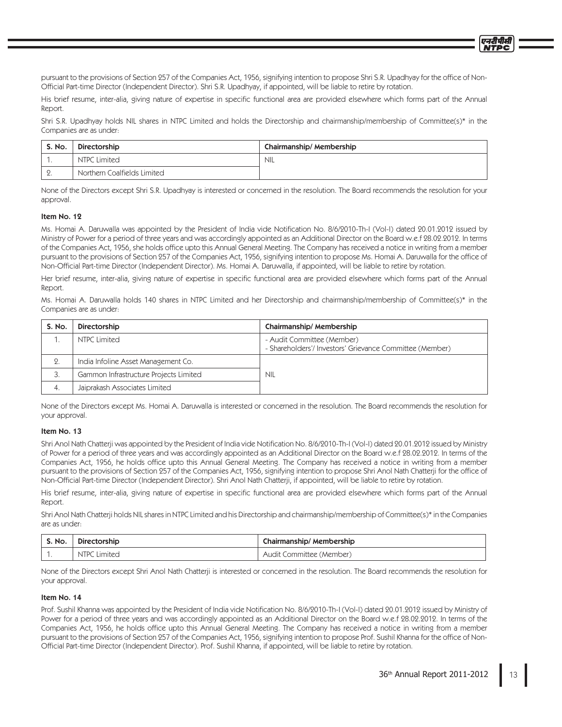pursuant to the provisions of Section 257 of the Companies Act, 1956, signifying intention to propose Shri S.R. Upadhyay for the office of Non-Official Part-time Director (Independent Director). Shri S.R. Upadhyay, if appointed, will be liable to retire by rotation.

His brief resume, inter-alia, giving nature of expertise in specific functional area are provided elsewhere which forms part of the Annual Report.

Shri S.R. Upadhyay holds NIL shares in NTPC Limited and holds the Directorship and chairmanship/membership of Committee(s)\* in the Companies are as under:

| S. No. | Directorship                | Chairmanship/Membership |
|--------|-----------------------------|-------------------------|
|        | <b>NTPC Limited</b>         | <b>NIL</b>              |
| ، ک    | Northern Coalfields Limited |                         |

None of the Directors except Shri S.R. Upadhyay is interested or concerned in the resolution. The Board recommends the resolution for your approval.

# Item No. 19

Ms. Homai A. Daruwalla was appointed by the President of India vide Notification No. 8/6/2010-Th-I (Vol-I) dated 20.01.2012 issued by Ministry of Power for a period of three years and was accordingly appointed as an Additional Director on the Board w.e.f 28.02.2012. In terms of the Companies Act, 1956, she holds office upto this Annual General Meeting. The Company has received a notice in writing from a member pursuant to the provisions of Section 257 of the Companies Act, 1956, signifying intention to propose Ms. Homai A. Daruwalla for the office of Non-Official Part-time Director (Independent Director). Ms. Homai A. Daruwalla, if appointed, will be liable to retire by rotation.

Her brief resume, inter-alia, giving nature of expertise in specific functional area are provided elsewhere which forms part of the Annual Report.

Ms. Homai A. Daruwalla holds 140 shares in NTPC Limited and her Directorship and chairmanship/membership of Committee(s)\* in the Companies are as under:

| S. No. | Directorship                           | Chairmanship/Membership                                                                |
|--------|----------------------------------------|----------------------------------------------------------------------------------------|
|        | NTPC Limited                           | - Audit Committee (Member)<br>- Shareholders'/ Investors' Grievance Committee (Member) |
| 2      | India Infoline Asset Management Co.    |                                                                                        |
| 3.     | Gammon Infrastructure Projects Limited | <b>NIL</b>                                                                             |
| 4.     | Jaiprakash Associates Limited          |                                                                                        |

None of the Directors except Ms. Homai A. Daruwalla is interested or concerned in the resolution. The Board recommends the resolution for your approval.

#### Item No. 13

Shri Anol Nath Chatterji was appointed by the President of India vide Notification No. 8/6/2010-Th-I (Vol-I) dated 20.01.2012 issued by Ministry of Power for a period of three years and was accordingly appointed as an Additional Director on the Board w.e.f 28.02.2012. In terms of the Companies Act, 1956, he holds office upto this Annual General Meeting. The Company has received a notice in writing from a member pursuant to the provisions of Section 257 of the Companies Act, 1956, signifying intention to propose Shri Anol Nath Chatterji for the office of Non-Official Part-time Director (Independent Director). Shri Anol Nath Chatterji, if appointed, will be liable to retire by rotation.

His brief resume, inter-alia, giving nature of expertise in specific functional area are provided elsewhere which forms part of the Annual Report.

Shri Anol Nath Chatterji holds NIL shares in NTPC Limited and his Directorship and chairmanship/membership of Committee(s)\* in the Companies are as under:

| <b>S. No.</b> | Directorship        | Chairmanship/Membership  |
|---------------|---------------------|--------------------------|
|               | <b>NTPC Limited</b> | Audit Committee (Member) |

None of the Directors except Shri Anol Nath Chatterji is interested or concerned in the resolution. The Board recommends the resolution for your approval.

#### Item No. 14

Prof. Sushil Khanna was appointed by the President of India vide Notification No. 8/6/2010-Th-I (Vol-I) dated 20.01.2012 issued by Ministry of Power for a period of three years and was accordingly appointed as an Additional Director on the Board w.e.f 28.02.2012. In terms of the Companies Act, 1956, he holds office upto this Annual General Meeting. The Company has received a notice in writing from a member pursuant to the provisions of Section 257 of the Companies Act, 1956, signifying intention to propose Prof. Sushil Khanna for the office of Non-Official Part-time Director (Independent Director). Prof. Sushil Khanna, if appointed, will be liable to retire by rotation.

प्तदीपीरी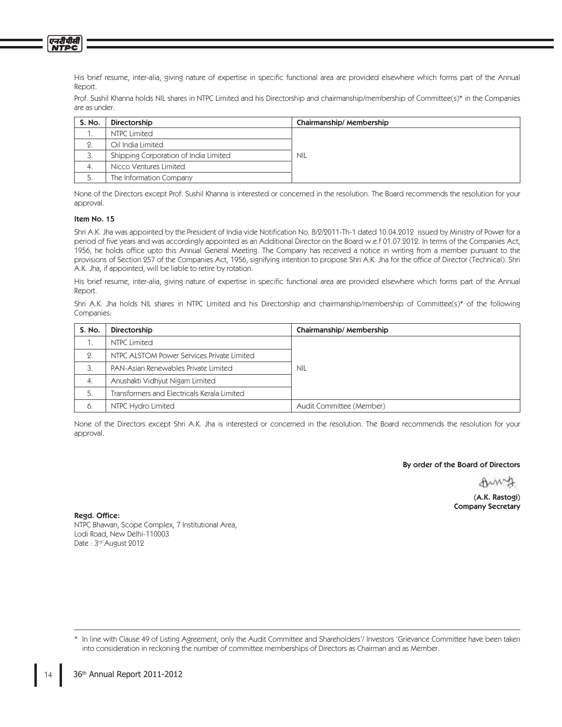His brief resume, inter-alia, giving nature of expertise in specific functional area are provided elsewhere which forms part of the Annual Report.

Prof. Sushil Khanna holds NIL shares in NTPC Limited and his Directorship and chairmanship/membership of Committee(s)\* in the Companies are as under:

| S. No. | Directorship                          | Chairmanship/Membership |
|--------|---------------------------------------|-------------------------|
|        | NTPC Limited                          |                         |
| 2.     | Oil India Limited                     |                         |
|        | Shipping Corporation of India Limited | <b>NIL</b>              |
| 4.     | Nicco Ventures Limited                |                         |
|        | The Information Company               |                         |

None of the Directors except Prof. Sushil Khanna is interested or concerned in the resolution. The Board recommends the resolution for your approval.

## Item No. 15

एनदीपीसी **NTPC** 

> Shri A.K. Jha was appointed by the President of India vide Notification No. 8/2/2011-Th-1 dated 10.04.2012 issued by Ministry of Power for a period of five years and was accordingly appointed as an Additional Director on the Board w.e.f 01.07.2012. In terms of the Companies Act, 1956, he holds office upto this Annual General Meeting. The Company has received a notice in writing from a member pursuant to the provisions of Section 257 of the Companies Act, 1956, signifying intention to propose Shri A.K. Jha for the office of Director (Technical). Shri A.K. Jha, if appointed, will be liable to retire by rotation.

> His brief resume, inter-alia, giving nature of expertise in specific functional area are provided elsewhere which forms part of the Annual Report.

> Shri A.K. Jha holds NIL shares in NTPC Limited and his Directorship and chairmanship/membership of Committee(s)\* of the following Companies:

| S. No.   | Directorship                                | Chairmanship/Membership  |
|----------|---------------------------------------------|--------------------------|
|          | <b>NTPC Limited</b>                         |                          |
| $\Omega$ | NTPC ALSTOM Power Services Private Limited  |                          |
|          | PAN-Asian Renewables Private Limited        | <b>NIL</b>               |
| 4.       | Anushakti Vidhyut Nigam Limited             |                          |
| 5.       | Transformers and Electricals Kerala Limited |                          |
| 6.       | NTPC Hydro Limited                          | Audit Committee (Member) |

None of the Directors except Shri A.K. Jha is interested or concerned in the resolution. The Board recommends the resolution for your approval.

### By order of the Board of Directors

(A.K. Rastogi) Company Secretary

Regd. Office:

NTPC Bhawan, Scope Complex, 7 Institutional Area, Lodi Road, New Delhi-110003 Date : 3rd August 2012

In line with Clause 49 of Listing Agreement, only the Audit Committee and Shareholders'/ Investors 'Grievance Committee have been taken into consideration in reckoning the number of committee memberships of Directors as Chairman and as Member.